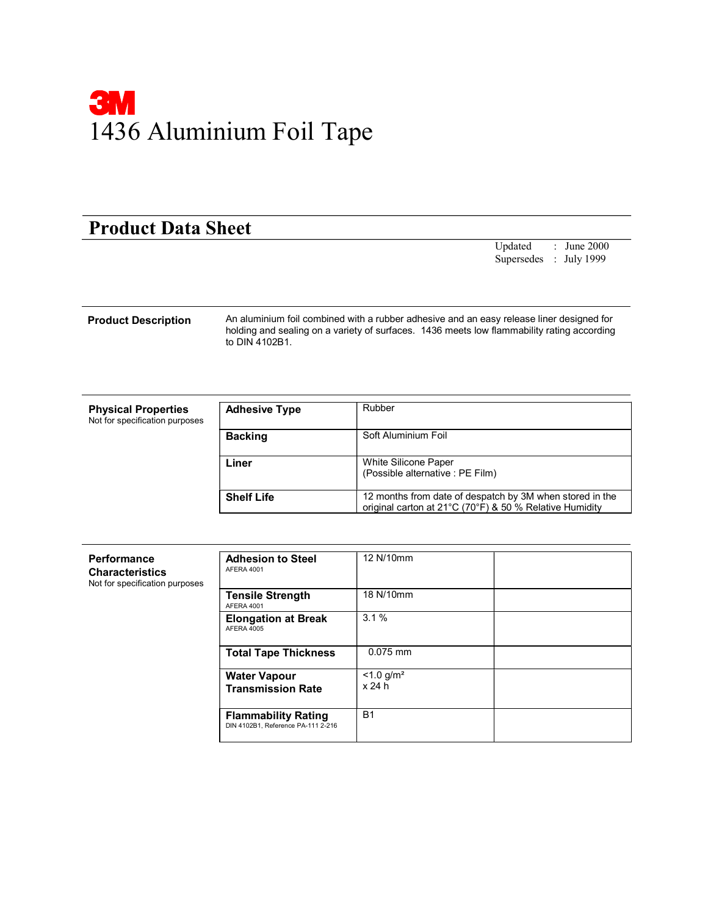

## Product Data Sheet

Updated : June 2000 Supersedes : July 1999

Product Description An aluminium foil combined with a rubber adhesive and an easy release liner designed for holding and sealing on a variety of surfaces. 1436 meets low flammability rating according to DIN 4102B1.

| <b>Physical Properties</b><br>Not for specification purposes | <b>Adhesive Type</b> | Rubber                                                                                                              |
|--------------------------------------------------------------|----------------------|---------------------------------------------------------------------------------------------------------------------|
|                                                              | <b>Backing</b>       | Soft Aluminium Foil                                                                                                 |
|                                                              | Liner                | White Silicone Paper<br>(Possible alternative: PE Film)                                                             |
|                                                              | <b>Shelf Life</b>    | 12 months from date of despatch by 3M when stored in the<br>original carton at 21°C (70°F) & 50 % Relative Humidity |

| Performance<br><b>Characteristics</b><br>Not for specification purposes | <b>Adhesion to Steel</b><br>AFERA 4001                           | 12 N/10mm                          |  |
|-------------------------------------------------------------------------|------------------------------------------------------------------|------------------------------------|--|
|                                                                         | <b>Tensile Strength</b><br>AFERA 4001                            | 18 N/10mm                          |  |
|                                                                         | <b>Elongation at Break</b><br>AFERA 4005                         | 3.1%                               |  |
|                                                                         | <b>Total Tape Thickness</b>                                      | $0.075$ mm                         |  |
|                                                                         | <b>Water Vapour</b><br><b>Transmission Rate</b>                  | $< 1.0$ g/m <sup>2</sup><br>x 24 h |  |
|                                                                         | <b>Flammability Rating</b><br>DIN 4102B1, Reference PA-111 2-216 | <b>B1</b>                          |  |